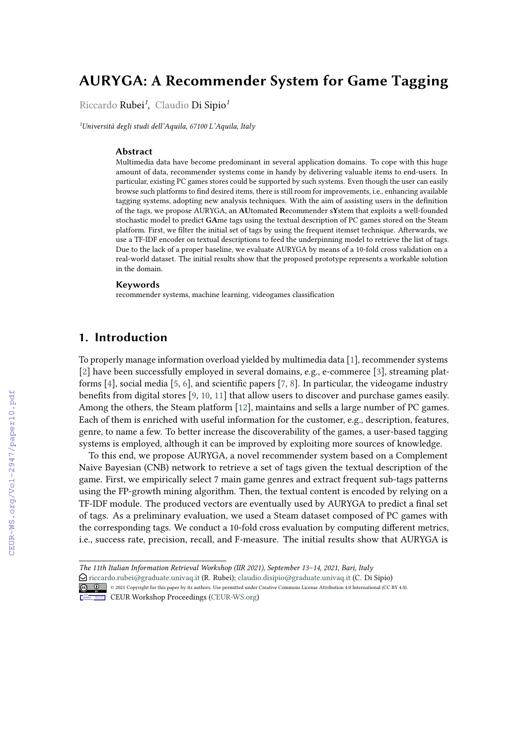# **AURYGA: A Recommender System for Game Tagging**

Riccardo Rubei*<sup>1</sup>* , Claudio Di Sipio*<sup>1</sup>*

*<sup>1</sup>Università degli studi dell'Aquila, 67100 L'Aquila, Italy*

#### **Abstract**

Multimedia data have become predominant in several application domains. To cope with this huge amount of data, recommender systems come in handy by delivering valuable items to end-users. In particular, existing PC games stores could be supported by such systems. Even though the user can easily browse such platforms to fnd desired items, there is still room for improvements, i.e., enhancing available tagging systems, adopting new analysis techniques. With the aim of assisting users in the defnition of the tags, we propose AURYGA, an **AU**tomated **R**ecommender s**Y**stem that exploits a well-founded stochastic model to predict **GA**me tags using the textual description of PC games stored on the Steam platform. First, we flter the initial set of tags by using the frequent itemset technique. Aferwards, we use a TF-IDF encoder on textual descriptions to feed the underpinning model to retrieve the list of tags. Due to the lack of a proper baseline, we evaluate AURYGA by means of a 10-fold cross validation on a real-world dataset. The initial results show that the proposed prototype represents a workable solution in the domain.

#### **Keywords**

recommender systems, machine learning, videogames classifcation

## **1. Introduction**

To properly manage information overload yielded by multimedia data [\[1\]](#page--1-0), recommender systems [\[2\]](#page--1-1) have been successfully employed in several domains, e.g., e-commerce [\[3\]](#page--1-2), streaming platforms [\[4\]](#page--1-3), social media [\[5,](#page--1-4) [6\]](#page--1-5), and scientifc papers [\[7,](#page--1-6) [8\]](#page--1-7). In particular, the videogame industry benefts from digital stores [\[9,](#page--1-8) [10,](#page--1-9) [11\]](#page--1-10) that allow users to discover and purchase games easily. Among the others, the Steam platform [\[12\]](#page--1-11), maintains and sells a large number of PC games. Each of them is enriched with useful information for the customer, e.g., description, features, genre, to name a few. To better increase the discoverability of the games, a user-based tagging systems is employed, although it can be improved by exploiting more sources of knowledge.

To this end, we propose AURYGA, a novel recommender system based on a Complement Naive Bayesian (CNB) network to retrieve a set of tags given the textual description of the game. First, we empirically select 7 main game genres and extract frequent sub-tags patterns using the FP-growth mining algorithm. Then, the textual content is encoded by relying on a TF-IDF module. The produced vectors are eventually used by AURYGA to predict a fnal set of tags. As a preliminary evaluation, we used a Steam dataset composed of PC games with the corresponding tags. We conduct a 10-fold cross evaluation by computing diferent metrics, i.e., success rate, precision, recall, and F-measure. The initial results show that AURYGA is

*The 11th Italian Information Retrieval Workshop (IIR 2021), September 13–14, 2021, Bari, Italy*

E [riccardo.rubei@graduate.univaq.it](mailto:riccardo.rubei@graduate.univaq.it) (R. Rubei); [claudio.disipio@graduate.univaq.it](mailto:claudio.disipio@graduate.univaq.it) (C. Di Sipio)

<sup>© 2021</sup> Copyright for this paper by its authors. Use permitted under Creative Commons License Attribution 4.0 International (CC BY 4.0).

CEUR Workshop [Proceedings](http://ceur-ws.org) [\(CEUR-WS.org\)](http://ceur-ws.org)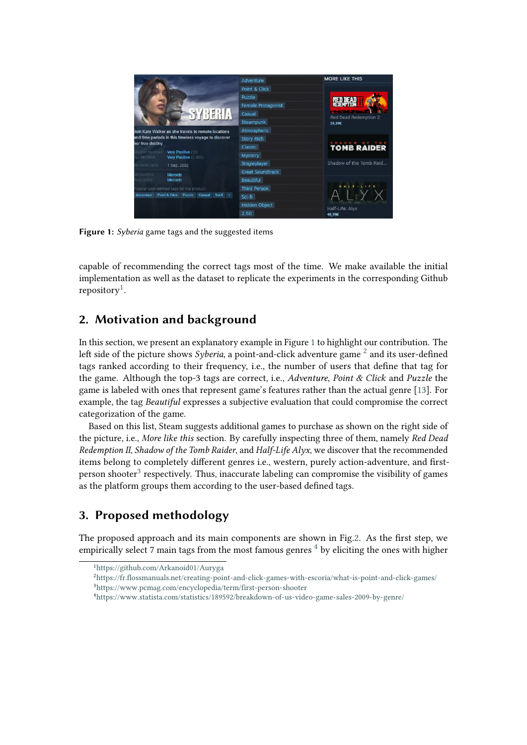<span id="page-1-1"></span>

**Figure 1:** *Syberia* game tags and the suggested items

capable of recommending the correct tags most of the time. We make available the initial implementation as well as the dataset to replicate the experiments in the corresponding Github repository<sup>[1](#page-1-0)</sup>.

## **2. Motivation and background**

In this section, we present an explanatory example in Figure [1](#page-1-1) to highlight our contribution. The left side of the picture shows *Syberia*, a point-and-click adventure game <sup>[2](#page-1-2)</sup> and its user-defined tags ranked according to their frequency, i.e., the number of users that defne that tag for the game. Although the top-3 tags are correct, i.e., *Adventure*, *Point & Click* and *Puzzle* the game is labeled with ones that represent game's features rather than the actual genre [\[13\]](#page-5-0). For example, the tag *Beautiful* expresses a subjective evaluation that could compromise the correct categorization of the game.

Based on this list, Steam suggests additional games to purchase as shown on the right side of the picture, i.e., *More like this* section. By carefully inspecting three of them, namely *Red Dead Redemption II*, *Shadow of the Tomb Raider*, and *Half-Life Alyx*, we discover that the recommended items belong to completely diferent genres i.e., western, purely action-adventure, and frstperson shooter $^3$  $^3$  respectively. Thus, inaccurate labeling can compromise the visibility of games as the platform groups them according to the user-based defned tags.

## **3. Proposed methodology**

The proposed approach and its main components are shown in Fig[.2.](#page-2-0) As the frst step, we empirically select 7 main tags from the most famous genres  $4$  by eliciting the ones with higher

<span id="page-1-0"></span><sup>1</sup><https://github.com/Arkanoid01/Auryga>

<span id="page-1-3"></span><span id="page-1-2"></span><sup>2</sup><https://fr.flossmanuals.net/creating-point-and-click-games-with-escoria/what-is-point-and-click-games/> <sup>3</sup><https://www.pcmag.com/encyclopedia/term/first-person-shooter>

<span id="page-1-4"></span><sup>4</sup><https://www.statista.com/statistics/189592/breakdown-of-us-video-game-sales-2009-by-genre/>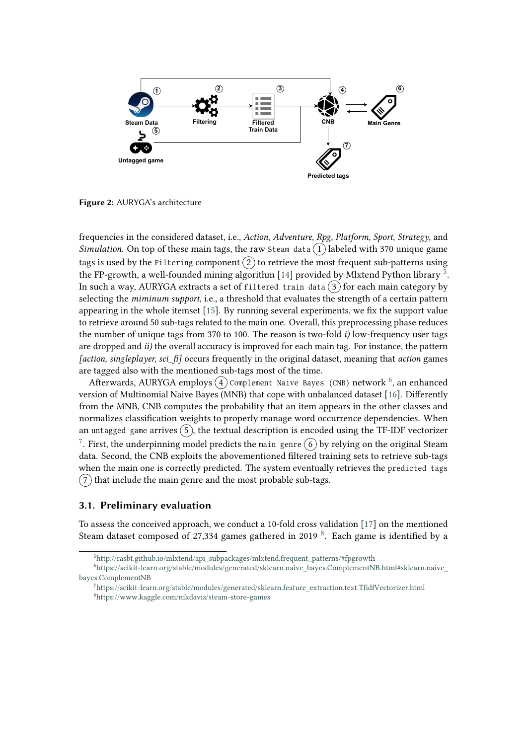<span id="page-2-0"></span>

**Figure 2:** AURYGA's architecture

frequencies in the considered dataset, i.e., *Action*, *Adventure*, *Rpg*, *Platform*, *Sport*, *Strategy*, and *Simulation*. On top of these main tags, the raw Steam data  $(1)$  labeled with 370 unique game tags is used by the Filtering component  $(2)$  to retrieve the most frequent sub-patterns using the FP-growth, a well-founded mining algorithm [\[14\]](#page-5-1) provided by Mlxtend Python library  $^5$  $^5$ . In such a way, AURYGA extracts a set of filtered train data  $(3)$  for each main category by selecting the *miminum support*, i.e., a threshold that evaluates the strength of a certain pattern appearing in the whole itemset [\[15\]](#page-5-2). By running several experiments, we fx the support value to retrieve around 50 sub-tags related to the main one. Overall, this preprocessing phase reduces the number of unique tags from 370 to 100. The reason is two-fold *i)* low-frequency user tags are dropped and *ii)* the overall accuracy is improved for each main tag. For instance, the pattern *[action, singleplayer, sci\_f]* occurs frequently in the original dataset, meaning that *action* games are tagged also with the mentioned sub-tags most of the time.

Afterwards, AURYGA employs  $\widehat{(\mathfrak{4})}$  Complement Naive Bayes (CNB) network  $^6$  $^6$ , an enhanced version of Multinomial Naive Bayes (MNB) that cope with unbalanced dataset [\[16\]](#page-6-0). Diferently from the MNB, CNB computes the probability that an item appears in the other classes and normalizes classifcation weights to properly manage word occurrence dependencies. When an untagged game arrives  $(5)$ , the textual description is encoded using the TF-IDF vectorizer  $^7$  $^7$ . First, the underpinning model predicts the main genre  $(\widehat{6})$  by relying on the original Steam data. Second, the CNB exploits the abovementioned fltered training sets to retrieve sub-tags when the main one is correctly predicted. The system eventually retrieves the predicted tags  $(7)$  that include the main genre and the most probable sub-tags.

#### **3.1. Preliminary evaluation**

To assess the conceived approach, we conduct a 10-fold cross validation [\[17\]](#page-6-1) on the mentioned Steam dataset composed of 27,334 games gathered in 2019  $8$ . Each game is identified by a

<span id="page-2-2"></span><span id="page-2-1"></span><sup>5</sup>[http://rasbt.github.io/mlxtend/api\\_subpackages/mlxtend.frequent\\_patterns/#fpgrowth](http://rasbt.github.io/mlxtend/api_subpackages/mlxtend.frequent_patterns/#fpgrowth)

<sup>6</sup>[https://scikit-learn.org/stable/modules/generated/sklearn.naive\\_bayes.ComplementNB.html#sklearn.naive\\_](https://scikit-learn.org/stable/modules/generated/sklearn.naive_bayes.ComplementNB.html#sklearn.naive_bayes.ComplementNB) [bayes.ComplementNB](https://scikit-learn.org/stable/modules/generated/sklearn.naive_bayes.ComplementNB.html#sklearn.naive_bayes.ComplementNB)

<span id="page-2-4"></span><span id="page-2-3"></span><sup>7</sup>[https://scikit-learn.org/stable/modules/generated/sklearn.feature\\_extraction.text.TfidfVectorizer.html](https://scikit-learn.org/stable/modules/generated/sklearn.feature_extraction.text.TfidfVectorizer.html) <sup>8</sup><https://www.kaggle.com/nikdavis/steam-store-games>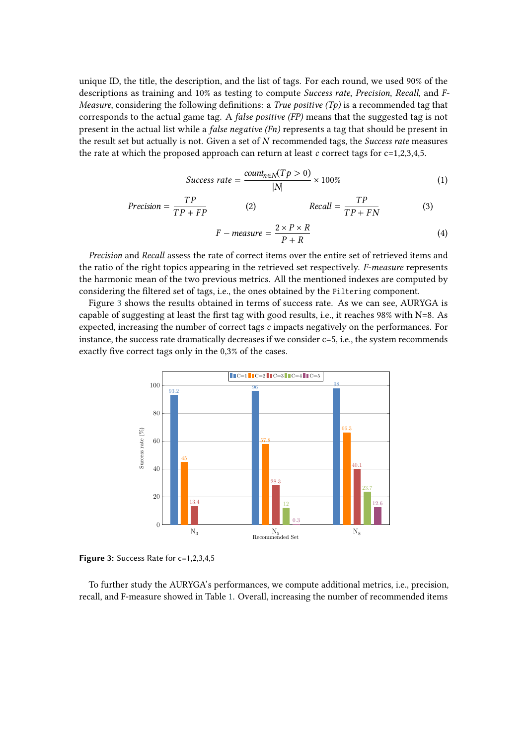unique ID, the title, the description, and the list of tags. For each round, we used 90% of the descriptions as training and 10% as testing to compute *Success rate*, *Precision*, *Recall*, and *F-Measure*, considering the following defnitions: a *True positive (Tp)* is a recommended tag that corresponds to the actual game tag. A *false positive (FP)* means that the suggested tag is not present in the actual list while a *false negative (Fn)* represents a tag that should be present in the result set but actually is not. Given a set of *N* recommended tags, the *Success rate* measures the rate at which the proposed approach can return at least  $c$  correct tags for  $c=1,2,3,4,5$ .

$$
Success\ rate = \frac{count_{n \in N}(Tp > 0)}{|N|} \times 100\%
$$
\n(1)

$$
Precision = \frac{TP}{TP + FP}
$$
 (2)  $Recall = \frac{TP}{TP + FN}$  (3)

$$
F-measure = \frac{2 \times P \times R}{P + R}
$$
 (4)

*Precision* and *Recall* assess the rate of correct items over the entire set of retrieved items and the ratio of the right topics appearing in the retrieved set respectively. *F-measure* represents the harmonic mean of the two previous metrics. All the mentioned indexes are computed by considering the filtered set of tags, i.e., the ones obtained by the Filtering component.

Figure [3](#page-3-0) shows the results obtained in terms of success rate. As we can see, AURYGA is capable of suggesting at least the frst tag with good results, i.e., it reaches 98% with N=8. As expected, increasing the number of correct tags *c* impacts negatively on the performances. For instance, the success rate dramatically decreases if we consider c=5, i.e., the system recommends exactly fve correct tags only in the 0,3% of the cases.

<span id="page-3-0"></span>

**Figure 3:** Success Rate for c=1,2,3,4,5

To further study the AURYGA's performances, we compute additional metrics, i.e., precision, recall, and F-measure showed in Table [1.](#page-4-0) Overall, increasing the number of recommended items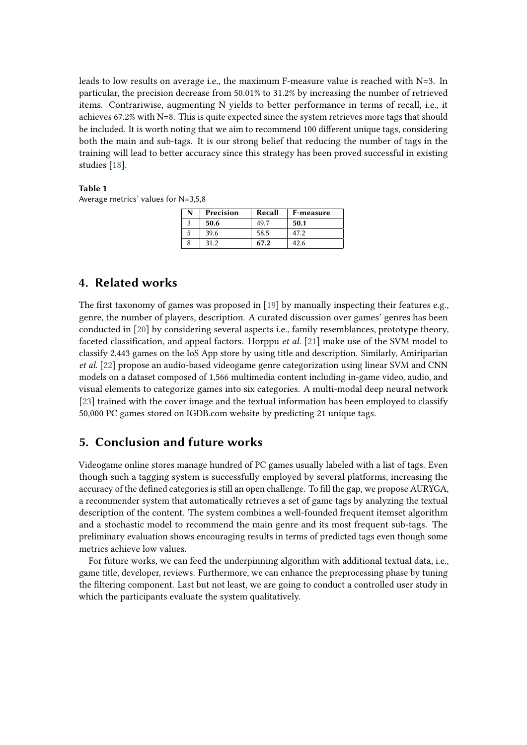leads to low results on average i.e., the maximum F-measure value is reached with N=3. In particular, the precision decrease from 50.01% to 31.2% by increasing the number of retrieved items. Contrariwise, augmenting N yields to better performance in terms of recall, i.e., it achieves 67.2% with N=8. This is quite expected since the system retrieves more tags that should be included. It is worth noting that we aim to recommend 100 diferent unique tags, considering both the main and sub-tags. It is our strong belief that reducing the number of tags in the training will lead to better accuracy since this strategy has been proved successful in existing studies [\[18\]](#page-6-2).

#### <span id="page-4-0"></span>**Table 1**

Average metrics' values for N=3,5,8

| N | Precision | Recall | F-measure |
|---|-----------|--------|-----------|
|   | 50.6      | 49.7   | 50.1      |
|   | 39.6      | 58.5   | 47.2      |
|   | 31.2      | 67.2   | 42.6      |

### **4. Related works**

The first taxonomy of games was proposed in [\[19\]](#page-6-3) by manually inspecting their features e.g., genre, the number of players, description. A curated discussion over games' genres has been conducted in [\[20\]](#page-6-4) by considering several aspects i.e., family resemblances, prototype theory, faceted classifcation, and appeal factors. Horppu *et al.* [\[21\]](#page-6-5) make use of the SVM model to classify 2,443 games on the IoS App store by using title and description. Similarly, Amiriparian *et al.* [\[22\]](#page-6-6) propose an audio-based videogame genre categorization using linear SVM and CNN models on a dataset composed of 1,566 multimedia content including in-game video, audio, and visual elements to categorize games into six categories. A multi-modal deep neural network [\[23\]](#page-6-7) trained with the cover image and the textual information has been employed to classify 50,000 PC games stored on IGDB.com website by predicting 21 unique tags.

## **5. Conclusion and future works**

Videogame online stores manage hundred of PC games usually labeled with a list of tags. Even though such a tagging system is successfully employed by several platforms, increasing the accuracy of the defned categories is still an open challenge. To fll the gap, we propose AURYGA, a recommender system that automatically retrieves a set of game tags by analyzing the textual description of the content. The system combines a well-founded frequent itemset algorithm and a stochastic model to recommend the main genre and its most frequent sub-tags. The preliminary evaluation shows encouraging results in terms of predicted tags even though some metrics achieve low values.

For future works, we can feed the underpinning algorithm with additional textual data, i.e., game title, developer, reviews. Furthermore, we can enhance the preprocessing phase by tuning the fltering component. Last but not least, we are going to conduct a controlled user study in which the participants evaluate the system qualitatively.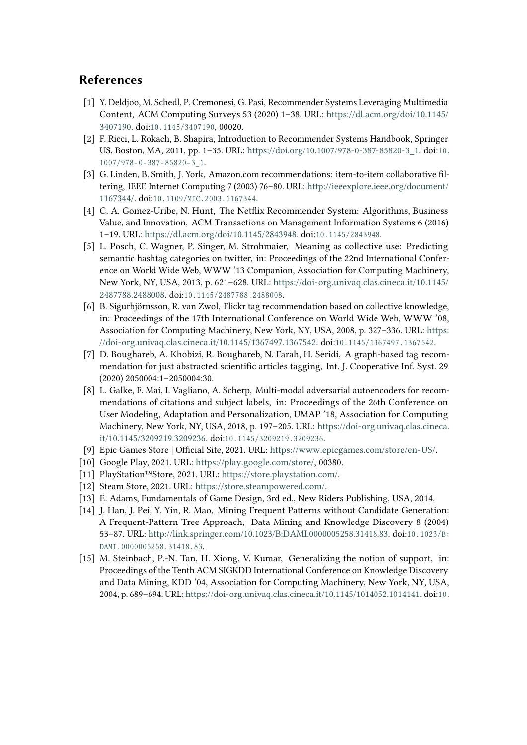## **References**

- [1] Y. Deldjoo, M. Schedl, P. Cremonesi, G. Pasi, Recommender Systems Leveraging Multimedia Content, ACM Computing Surveys 53 (2020) 1–38. URL: [https://dl.acm.org/doi/10.1145/](https://dl.acm.org/doi/10.1145/3407190) [3407190.](https://dl.acm.org/doi/10.1145/3407190) doi:10.1145/3407190, 00020.
- [2] F. Ricci, L. Rokach, B. Shapira, Introduction to Recommender Systems Handbook, Springer US, Boston, MA, 2011, pp. 1–35. URL: [https://doi.org/10.1007/978-0-387-85820-3\\_1.](https://doi.org/10.1007/978-0-387-85820-3_1) doi:[1 0 .](http://dx.doi.org/10.1007/978-0-387-85820-3_1)  $1007/978 - 0 - 387 - 85820 - 3$  1.
- [3] G. Linden, B. Smith, J. York, Amazon.com recommendations: item-to-item collaborative fltering, IEEE Internet Computing 7 (2003) 76–80. URL: [http://ieeexplore.ieee.org/document/](http://ieeexplore.ieee.org/document/1167344/) [1167344/.](http://ieeexplore.ieee.org/document/1167344/) doi:10.1109/MIC.2003.1167344.
- [4] C. A. Gomez-Uribe, N. Hunt, The Netfix Recommender System: Algorithms, Business Value, and Innovation, ACM Transactions on Management Information Systems 6 (2016) 1-19. URL: [https://dl.acm.org/doi/10.1145/2843948.](https://dl.acm.org/doi/10.1145/2843948) doi:10.1145/2843948.
- [5] L. Posch, C. Wagner, P. Singer, M. Strohmaier, Meaning as collective use: Predicting semantic hashtag categories on twitter, in: Proceedings of the 22nd International Conference on World Wide Web, WWW '13 Companion, Association for Computing Machinery, New York, NY, USA, 2013, p. 621–628. URL: [https://doi-org.univaq.clas.cineca.it/10.1145/](https://doi-org.univaq.clas.cineca.it/10.1145/2487788.2488008) [2487788.2488008.](https://doi-org.univaq.clas.cineca.it/10.1145/2487788.2488008) doi:10.1145/2487788.2488008.
- [6] B. Sigurbjörnsson, R. van Zwol, Flickr tag recommendation based on collective knowledge, in: Proceedings of the 17th International Conference on World Wide Web, WWW '08, Association for Computing Machinery, New York, NY, USA, 2008, p. 327–336. URL: [https:](https://doi-org.univaq.clas.cineca.it/10.1145/1367497.1367542) [//doi-org.univaq.clas.cineca.it/10.1145/1367497.1367542.](https://doi-org.univaq.clas.cineca.it/10.1145/1367497.1367542) doi:10.1145/1367497.1367542.
- [7] D. Boughareb, A. Khobizi, R. Boughareb, N. Farah, H. Seridi, A graph-based tag recommendation for just abstracted scientifc articles tagging, Int. J. Cooperative Inf. Syst. 29 (2020) 2050004:1–2050004:30.
- [8] L. Galke, F. Mai, I. Vagliano, A. Scherp, Multi-modal adversarial autoencoders for recommendations of citations and subject labels, in: Proceedings of the 26th Conference on User Modeling, Adaptation and Personalization, UMAP '18, Association for Computing Machinery, New York, NY, USA, 2018, p. 197–205. URL: [https://doi-org.univaq.clas.cineca.](https://doi-org.univaq.clas.cineca.it/10.1145/3209219.3209236) [it/10.1145/3209219.3209236.](https://doi-org.univaq.clas.cineca.it/10.1145/3209219.3209236) doi:10.1145/3209219.3209236.
- [9] Epic Games Store | Official Site, 2021. URL: [https://www.epicgames.com/store/en-US/.](https://www.epicgames.com/store/en-US/)
- [10] Google Play, 2021. URL: [https://play.google.com/store/,](https://play.google.com/store/) 00380.
- [11] PlayStation™Store, 2021. URL: [https://store.playstation.com/.](https://store.playstation.com/)
- [12] Steam Store, 2021. URL: [https://store.steampowered.com/.](https://store.steampowered.com/)
- <span id="page-5-0"></span>[13] E. Adams, Fundamentals of Game Design, 3rd ed., New Riders Publishing, USA, 2014.
- <span id="page-5-1"></span>[14] J. Han, J. Pei, Y. Yin, R. Mao, Mining Frequent Patterns without Candidate Generation: A Frequent-Pattern Tree Approach, Data Mining and Knowledge Discovery 8 (2004) 53-87. URL: [http://link.springer.com/10.1023/B:DAMI.0000005258.31418.83.](http://link.springer.com/10.1023/B:DAMI.0000005258.31418.83) doi:10.1023/B: DAMI.0000005258.31418.83.
- <span id="page-5-2"></span>[15] M. Steinbach, P.-N. Tan, H. Xiong, V. Kumar, Generalizing the notion of support, in: Proceedings of the Tenth ACM SIGKDD International Conference on Knowledge Discovery and Data Mining, KDD '04, Association for Computing Machinery, New York, NY, USA, 2004, p. 689–694. URL: [https://doi-org.univaq.clas.cineca.it/10.1145/1014052.1014141.](https://doi-org.univaq.clas.cineca.it/10.1145/1014052.1014141) doi:[1 0 .](http://dx.doi.org/10.1145/1014052.1014141)